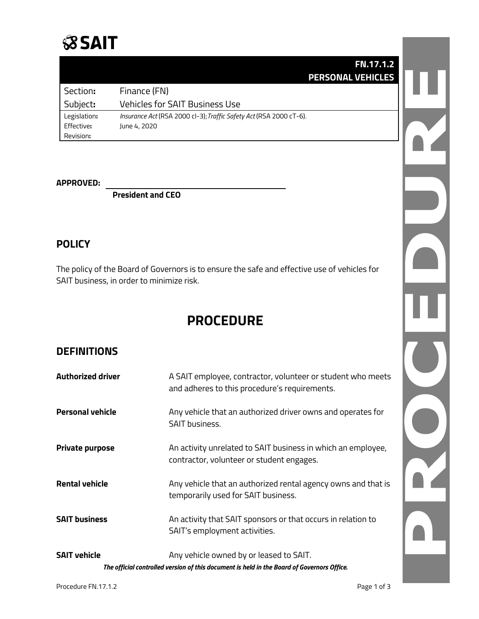## **SSAIT**

|              | <b>FN.17.1.2</b>                                                   |
|--------------|--------------------------------------------------------------------|
|              | <b>PERSONAL VEHICLES</b>                                           |
| Section:     | Finance (FN)                                                       |
| Subject:     | <b>Vehicles for SAIT Business Use</b>                              |
| Legislation: | Insurance Act (RSA 2000 cl-3); Traffic Safety Act (RSA 2000 cT-6). |
| Effective:   | June 4, 2020                                                       |
| Revision:    |                                                                    |

#### **APPROVED:**

**President and CEO**

### **POLICY**

The policy of the Board of Governors is to ensure the safe and effective use of vehicles for SAIT business, in order to minimize risk.

### **PROCEDURE**

### **DEFINITIONS**

| <b>Authorized driver</b> | A SAIT employee, contractor, volunteer or student who meets<br>and adheres to this procedure's requirements.                          |
|--------------------------|---------------------------------------------------------------------------------------------------------------------------------------|
| <b>Personal vehicle</b>  | Any vehicle that an authorized driver owns and operates for<br><b>SAIT business.</b>                                                  |
| <b>Private purpose</b>   | An activity unrelated to SAIT business in which an employee,<br>contractor, volunteer or student engages.                             |
| <b>Rental vehicle</b>    | Any vehicle that an authorized rental agency owns and that is<br>temporarily used for SAIT business.                                  |
| <b>SAIT business</b>     | An activity that SAIT sponsors or that occurs in relation to<br>SAIT's employment activities.                                         |
| <b>SAIT vehicle</b>      | Any vehicle owned by or leased to SAIT.<br>The official controlled version of this document is held in the Board of Governors Office. |

OZ.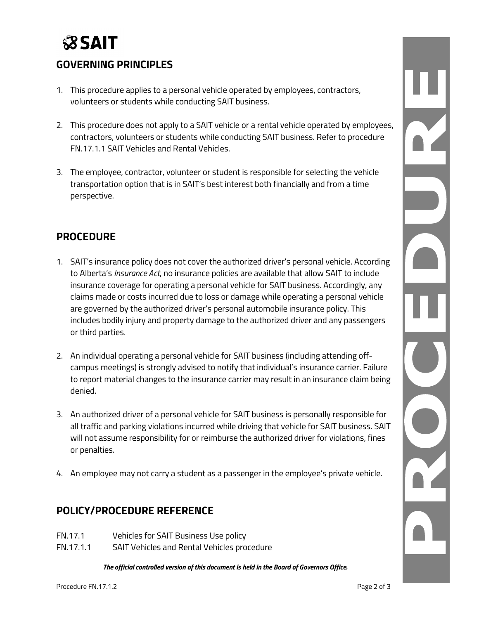# **SSAIT**

### **GOVERNING PRINCIPLES**

- 1. This procedure applies to a personal vehicle operated by employees, contractors, volunteers or students while conducting SAIT business.
- 2. This procedure does not apply to a SAIT vehicle or a rental vehicle operated by employees, contractors, volunteers or students while conducting SAIT business. Refer to procedure FN.17.1.1 SAIT Vehicles and Rental Vehicles.
- 3. The employee, contractor, volunteer or student is responsible for selecting the vehicle transportation option that is in SAIT's best interest both financially and from a time perspective.

#### **PROCEDURE**

- 1. SAIT's insurance policy does not cover the authorized driver's personal vehicle. According to Alberta's *Insurance Act*, no insurance policies are available that allow SAIT to include insurance coverage for operating a personal vehicle for SAIT business. Accordingly, any claims made or costs incurred due to loss or damage while operating a personal vehicle are governed by the authorized driver's personal automobile insurance policy. This includes bodily injury and property damage to the authorized driver and any passengers or third parties.
- 2. An individual operating a personal vehicle for SAIT business (including attending offcampus meetings) is strongly advised to notify that individual's insurance carrier. Failure to report material changes to the insurance carrier may result in an insurance claim being denied.
- 3. An authorized driver of a personal vehicle for SAIT business is personally responsible for all traffic and parking violations incurred while driving that vehicle for SAIT business. SAIT will not assume responsibility for or reimburse the authorized driver for violations, fines or penalties.
- 4. An employee may not carry a student as a passenger in the employee's private vehicle.

#### **POLICY/PROCEDURE REFERENCE**

- FN.17.1 Vehicles for SAIT Business Use policy
- FN.17.1.1 SAIT Vehicles and Rental Vehicles procedure

*The official controlled version of this document is held in the Board of Governors Office.*